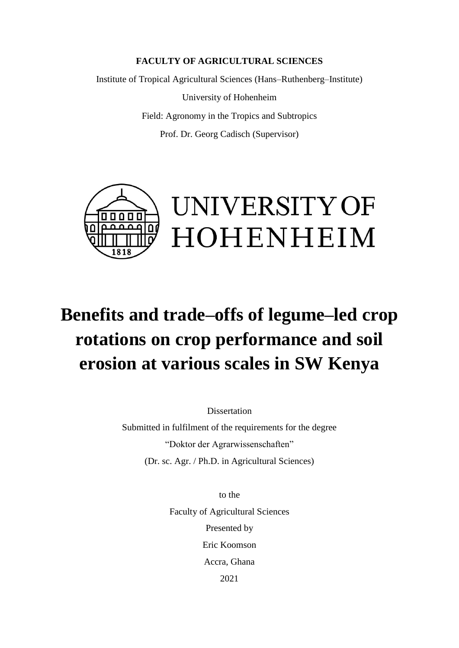## **FACULTY OF AGRICULTURAL SCIENCES**

Institute of Tropical Agricultural Sciences (Hans–Ruthenberg–Institute)

University of Hohenheim Field: Agronomy in the Tropics and Subtropics Prof. Dr. Georg Cadisch (Supervisor)



## **Benefits and trade–offs of legume–led crop rotations on crop performance and soil erosion at various scales in SW Kenya**

**Dissertation** 

Submitted in fulfilment of the requirements for the degree "Doktor der Agrarwissenschaften" (Dr. sc. Agr. / Ph.D. in Agricultural Sciences)

> to the Faculty of Agricultural Sciences Presented by Eric Koomson Accra, Ghana 2021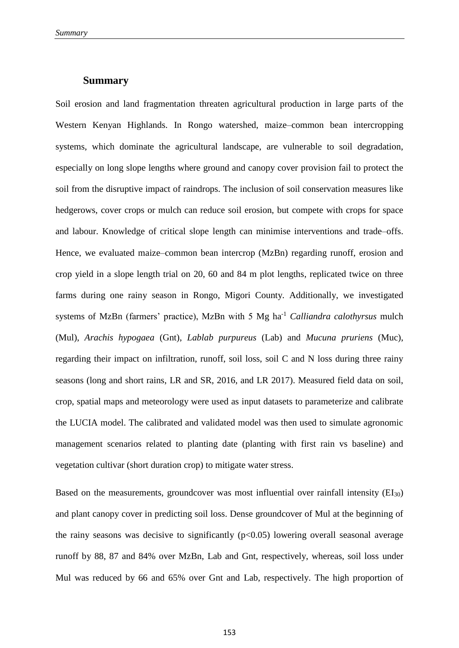## **Summary**

Soil erosion and land fragmentation threaten agricultural production in large parts of the Western Kenyan Highlands. In Rongo watershed, maize–common bean intercropping systems, which dominate the agricultural landscape, are vulnerable to soil degradation, especially on long slope lengths where ground and canopy cover provision fail to protect the soil from the disruptive impact of raindrops. The inclusion of soil conservation measures like hedgerows, cover crops or mulch can reduce soil erosion, but compete with crops for space and labour. Knowledge of critical slope length can minimise interventions and trade–offs. Hence, we evaluated maize–common bean intercrop (MzBn) regarding runoff, erosion and crop yield in a slope length trial on 20, 60 and 84 m plot lengths, replicated twice on three farms during one rainy season in Rongo, Migori County. Additionally, we investigated systems of MzBn (farmers' practice), MzBn with 5 Mg ha-1 *Calliandra calothyrsus* mulch (Mul), *Arachis hypogaea* (Gnt), *Lablab purpureus* (Lab) and *Mucuna pruriens* (Muc), regarding their impact on infiltration, runoff, soil loss, soil C and N loss during three rainy seasons (long and short rains, LR and SR, 2016, and LR 2017). Measured field data on soil, crop, spatial maps and meteorology were used as input datasets to parameterize and calibrate the LUCIA model. The calibrated and validated model was then used to simulate agronomic management scenarios related to planting date (planting with first rain vs baseline) and vegetation cultivar (short duration crop) to mitigate water stress.

Based on the measurements, groundcover was most influential over rainfall intensity  $(EI_{30})$ and plant canopy cover in predicting soil loss. Dense groundcover of Mul at the beginning of the rainy seasons was decisive to significantly  $(p<0.05)$  lowering overall seasonal average runoff by 88, 87 and 84% over MzBn, Lab and Gnt, respectively, whereas, soil loss under Mul was reduced by 66 and 65% over Gnt and Lab, respectively. The high proportion of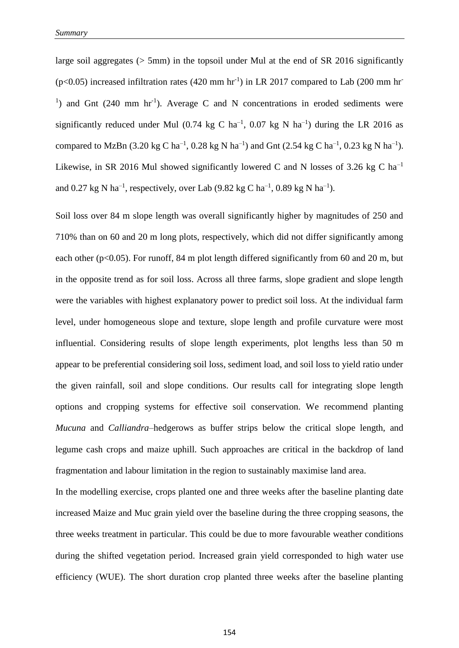large soil aggregates ( $> 5$ mm) in the topsoil under Mul at the end of SR 2016 significantly  $(p<0.05)$  increased infiltration rates (420 mm hr<sup>-1</sup>) in LR 2017 compared to Lab (200 mm hr<sup>-1</sup>) <sup>1</sup>) and Gnt  $(240 \text{ mm hr}^{-1})$ . Average C and N concentrations in eroded sediments were significantly reduced under Mul  $(0.74 \text{ kg } C \text{ ha}^{-1}$ ,  $(0.07 \text{ kg } N \text{ ha}^{-1})$  during the LR 2016 as compared to MzBn (3.20 kg C ha<sup>-1</sup>, 0.28 kg N ha<sup>-1</sup>) and Gnt (2.54 kg C ha<sup>-1</sup>, 0.23 kg N ha<sup>-1</sup>). Likewise, in SR 2016 Mul showed significantly lowered C and N losses of 3.26 kg C ha<sup>-1</sup> and 0.27 kg N ha<sup>-1</sup>, respectively, over Lab (9.82 kg C ha<sup>-1</sup>, 0.89 kg N ha<sup>-1</sup>).

Soil loss over 84 m slope length was overall significantly higher by magnitudes of 250 and 710% than on 60 and 20 m long plots, respectively, which did not differ significantly among each other ( $p<0.05$ ). For runoff, 84 m plot length differed significantly from 60 and 20 m, but in the opposite trend as for soil loss. Across all three farms, slope gradient and slope length were the variables with highest explanatory power to predict soil loss. At the individual farm level, under homogeneous slope and texture, slope length and profile curvature were most influential. Considering results of slope length experiments, plot lengths less than 50 m appear to be preferential considering soil loss, sediment load, and soil loss to yield ratio under the given rainfall, soil and slope conditions. Our results call for integrating slope length options and cropping systems for effective soil conservation. We recommend planting *Mucuna* and *Calliandra*–hedgerows as buffer strips below the critical slope length, and legume cash crops and maize uphill. Such approaches are critical in the backdrop of land fragmentation and labour limitation in the region to sustainably maximise land area.

In the modelling exercise, crops planted one and three weeks after the baseline planting date increased Maize and Muc grain yield over the baseline during the three cropping seasons, the three weeks treatment in particular. This could be due to more favourable weather conditions during the shifted vegetation period. Increased grain yield corresponded to high water use efficiency (WUE). The short duration crop planted three weeks after the baseline planting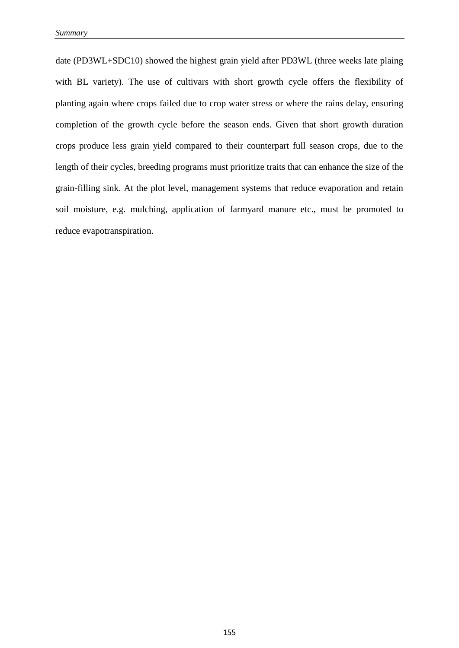date (PD3WL+SDC10) showed the highest grain yield after PD3WL (three weeks late plaing with BL variety). The use of cultivars with short growth cycle offers the flexibility of planting again where crops failed due to crop water stress or where the rains delay, ensuring completion of the growth cycle before the season ends. Given that short growth duration crops produce less grain yield compared to their counterpart full season crops, due to the length of their cycles, breeding programs must prioritize traits that can enhance the size of the grain-filling sink. At the plot level, management systems that reduce evaporation and retain soil moisture, e.g. mulching, application of farmyard manure etc., must be promoted to reduce evapotranspiration.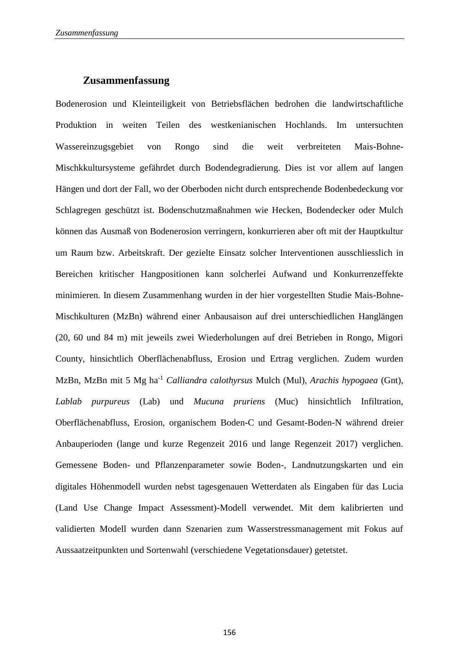## **Zusammenfassung**

Bodenerosion und Kleinteiligkeit von Betriebsflächen bedrohen die landwirtschaftliche Produktion in weiten Teilen des westkenianischen Hochlands. Im untersuchten Wassereinzugsgebiet von Rongo sind die weit verbreiteten Mais-Bohne-Mischkkultursysteme gefährdet durch Bodendegradierung. Dies ist vor allem auf langen Hängen und dort der Fall, wo der Oberboden nicht durch entsprechende Bodenbedeckung vor Schlagregen geschützt ist. Bodenschutzmaßnahmen wie Hecken, Bodendecker oder Mulch können das Ausmaß von Bodenerosion verringern, konkurrieren aber oft mit der Hauptkultur um Raum bzw. Arbeitskraft. Der gezielte Einsatz solcher Interventionen ausschliesslich in Bereichen kritischer Hangpositionen kann solcherlei Aufwand und Konkurrenzeffekte minimieren. In diesem Zusammenhang wurden in der hier vorgestellten Studie Mais-Bohne-Mischkulturen (MzBn) während einer Anbausaison auf drei unterschiedlichen Hanglängen (20, 60 und 84 m) mit jeweils zwei Wiederholungen auf drei Betrieben in Rongo, Migori County, hinsichtlich Oberflächenabfluss, Erosion und Ertrag verglichen. Zudem wurden MzBn, MzBn mit 5 Mg ha-1 *Calliandra calothyrsus* Mulch (Mul), *Arachis hypogaea* (Gnt), *Lablab purpureus* (Lab) und *Mucuna pruriens* (Muc) hinsichtlich Infiltration, Oberflächenabfluss, Erosion, organischem Boden-C und Gesamt-Boden-N während dreier Anbauperioden (lange und kurze Regenzeit 2016 und lange Regenzeit 2017) verglichen. Gemessene Boden- und Pflanzenparameter sowie Boden-, Landnutzungskarten und ein digitales Höhenmodell wurden nebst tagesgenauen Wetterdaten als Eingaben für das Lucia (Land Use Change Impact Assessment)-Modell verwendet. Mit dem kalibrierten und validierten Modell wurden dann Szenarien zum Wasserstressmanagement mit Fokus auf Aussaatzeitpunkten und Sortenwahl (verschiedene Vegetationsdauer) getetstet.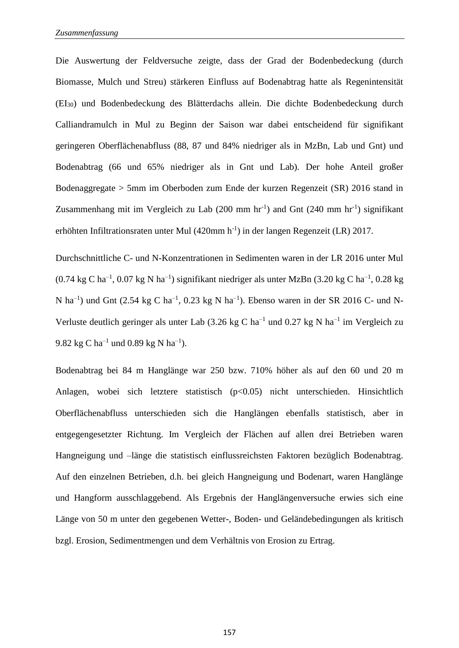Die Auswertung der Feldversuche zeigte, dass der Grad der Bodenbedeckung (durch Biomasse, Mulch und Streu) stärkeren Einfluss auf Bodenabtrag hatte als Regenintensität (EI30) und Bodenbedeckung des Blätterdachs allein. Die dichte Bodenbedeckung durch Calliandramulch in Mul zu Beginn der Saison war dabei entscheidend für signifikant geringeren Oberflächenabfluss (88, 87 und 84% niedriger als in MzBn, Lab und Gnt) und Bodenabtrag (66 und 65% niedriger als in Gnt und Lab). Der hohe Anteil großer Bodenaggregate > 5mm im Oberboden zum Ende der kurzen Regenzeit (SR) 2016 stand in Zusammenhang mit im Vergleich zu Lab  $(200 \text{ mm hr}^{-1})$  and Gnt  $(240 \text{ mm hr}^{-1})$  signifikant erhöhten Infiltrationsraten unter Mul (420mm h<sup>-1</sup>) in der langen Regenzeit (LR) 2017.

Durchschnittliche C- und N-Konzentrationen in Sedimenten waren in der LR 2016 unter Mul  $(0.74 \text{ kg C ha}^{-1}, 0.07 \text{ kg N ha}^{-1})$  signifikant niedriger als unter MzBn  $(3.20 \text{ kg C ha}^{-1}, 0.28 \text{ kg})$ N ha<sup>-1</sup>) und Gnt (2.54 kg C ha<sup>-1</sup>, 0.23 kg N ha<sup>-1</sup>). Ebenso waren in der SR 2016 C- und N-Verluste deutlich geringer als unter Lab  $(3.26 \text{ kg C ha}^{-1}$  und  $0.27 \text{ kg N ha}^{-1}$  im Vergleich zu 9.82 kg C ha<sup>-1</sup> und 0.89 kg N ha<sup>-1</sup>).

Bodenabtrag bei 84 m Hanglänge war 250 bzw. 710% höher als auf den 60 und 20 m Anlagen, wobei sich letztere statistisch (p<0.05) nicht unterschieden. Hinsichtlich Oberflächenabfluss unterschieden sich die Hanglängen ebenfalls statistisch, aber in entgegengesetzter Richtung. Im Vergleich der Flächen auf allen drei Betrieben waren Hangneigung und –länge die statistisch einflussreichsten Faktoren bezüglich Bodenabtrag. Auf den einzelnen Betrieben, d.h. bei gleich Hangneigung und Bodenart, waren Hanglänge und Hangform ausschlaggebend. Als Ergebnis der Hanglängenversuche erwies sich eine Länge von 50 m unter den gegebenen Wetter-, Boden- und Geländebedingungen als kritisch bzgl. Erosion, Sedimentmengen und dem Verhältnis von Erosion zu Ertrag.